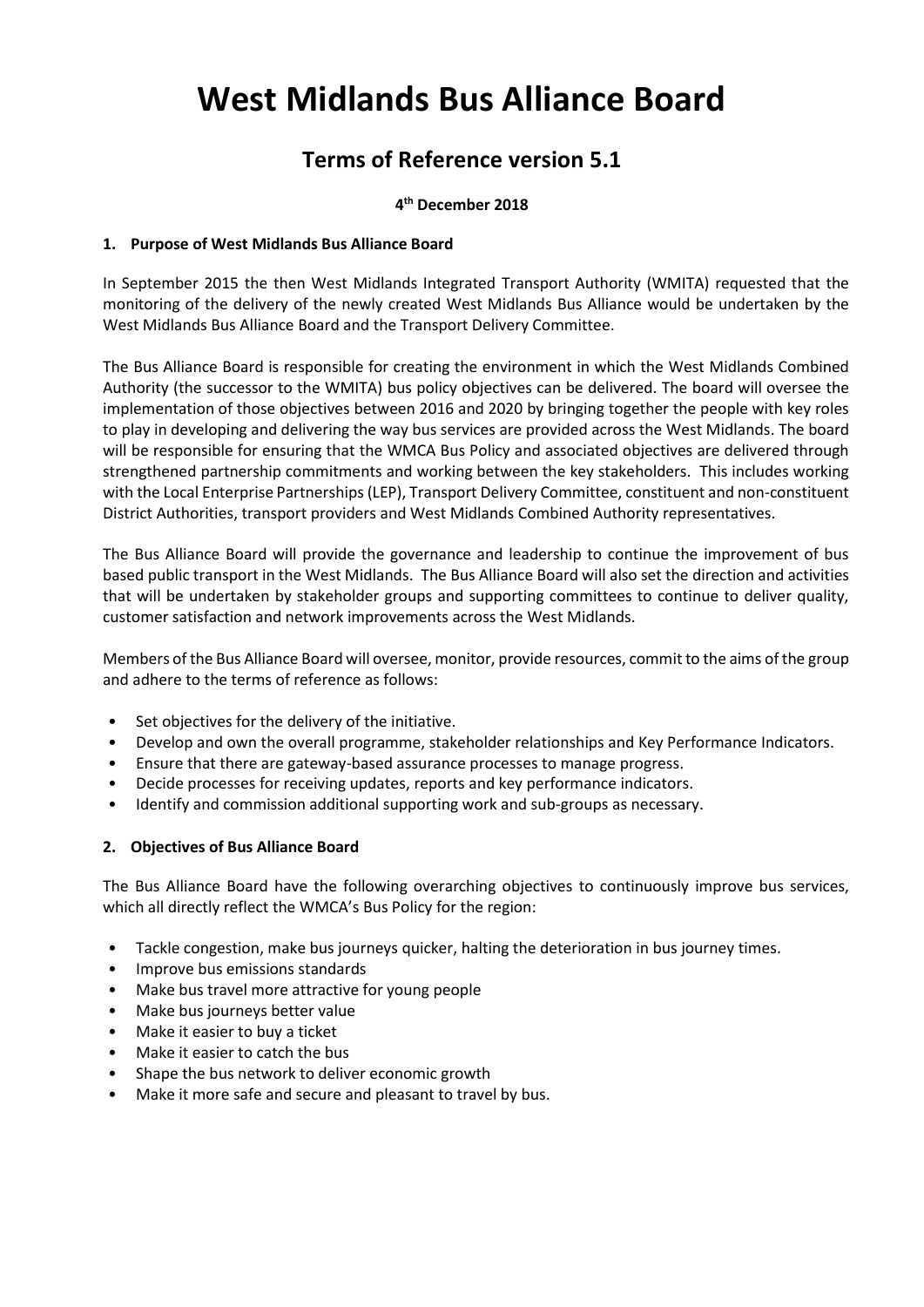# **West Midlands Bus Alliance Board**

# **Terms of Reference version 5.1**

# **4 th December 2018**

# **1. Purpose of West Midlands Bus Alliance Board**

In September 2015 the then West Midlands Integrated Transport Authority (WMITA) requested that the monitoring of the delivery of the newly created West Midlands Bus Alliance would be undertaken by the West Midlands Bus Alliance Board and the Transport Delivery Committee.

The Bus Alliance Board is responsible for creating the environment in which the West Midlands Combined Authority (the successor to the WMITA) bus policy objectives can be delivered. The board will oversee the implementation of those objectives between 2016 and 2020 by bringing together the people with key roles to play in developing and delivering the way bus services are provided across the West Midlands. The board will be responsible for ensuring that the WMCA Bus Policy and associated objectives are delivered through strengthened partnership commitments and working between the key stakeholders. This includes working with the Local Enterprise Partnerships (LEP), Transport Delivery Committee, constituent and non-constituent District Authorities, transport providers and West Midlands Combined Authority representatives.

The Bus Alliance Board will provide the governance and leadership to continue the improvement of bus based public transport in the West Midlands. The Bus Alliance Board will also set the direction and activities that will be undertaken by stakeholder groups and supporting committees to continue to deliver quality, customer satisfaction and network improvements across the West Midlands.

Members of the Bus Alliance Board will oversee, monitor, provide resources, commit to the aims of the group and adhere to the terms of reference as follows:

- Set objectives for the delivery of the initiative.
- Develop and own the overall programme, stakeholder relationships and Key Performance Indicators.
- Ensure that there are gateway-based assurance processes to manage progress.
- Decide processes for receiving updates, reports and key performance indicators.
- Identify and commission additional supporting work and sub-groups as necessary.

#### **2. Objectives of Bus Alliance Board**

The Bus Alliance Board have the following overarching objectives to continuously improve bus services, which all directly reflect the WMCA's Bus Policy for the region:

- Tackle congestion, make bus journeys quicker, halting the deterioration in bus journey times.
- Improve bus emissions standards
- Make bus travel more attractive for young people
- Make bus journeys better value
- Make it easier to buy a ticket
- Make it easier to catch the bus
- Shape the bus network to deliver economic growth
- Make it more safe and secure and pleasant to travel by bus.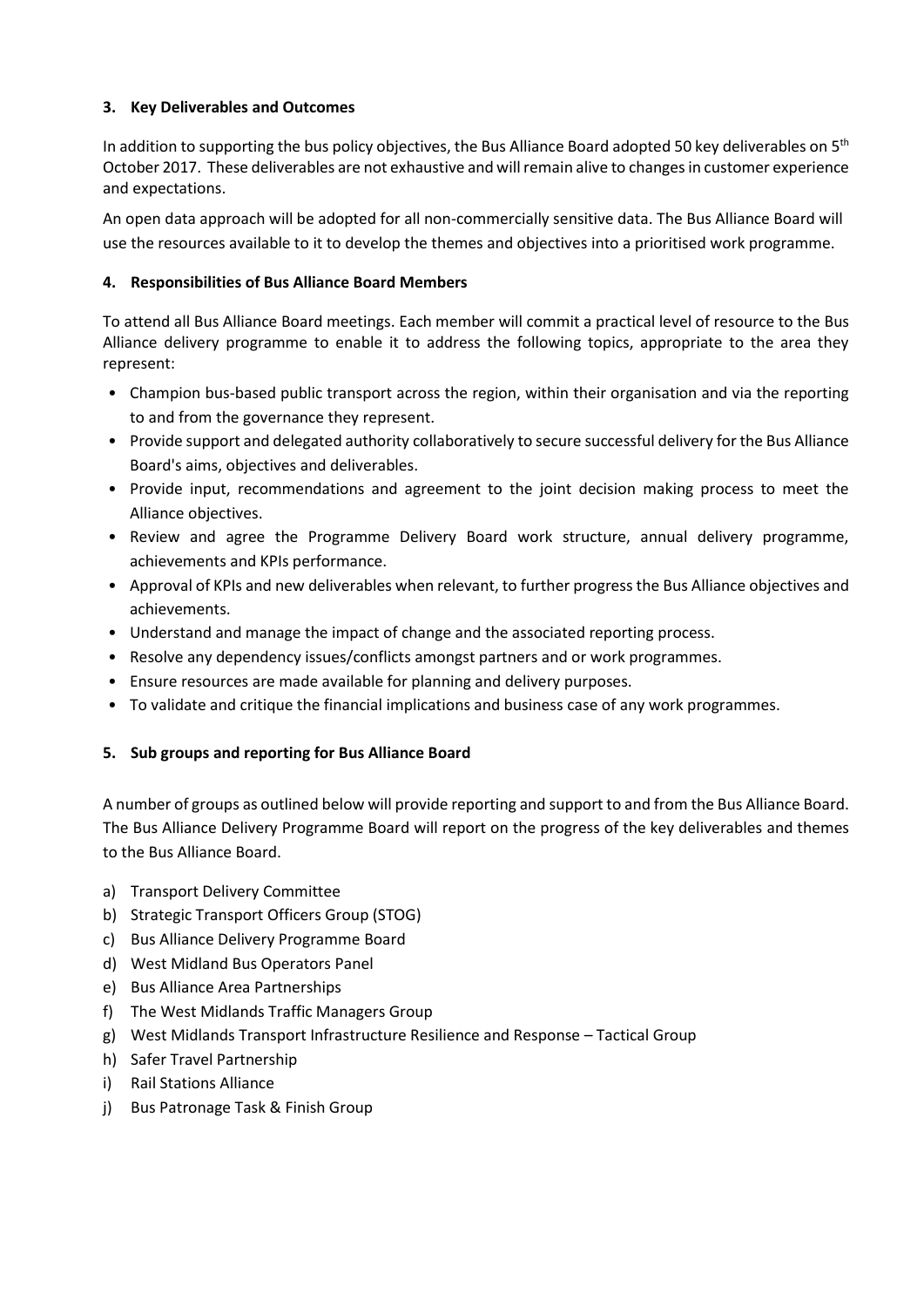# **3. Key Deliverables and Outcomes**

In addition to supporting the bus policy objectives, the Bus Alliance Board adopted 50 key deliverables on  $5<sup>th</sup>$ October 2017. These deliverables are not exhaustive and will remain alive to changes in customer experience and expectations.

An open data approach will be adopted for all non-commercially sensitive data. The Bus Alliance Board will use the resources available to it to develop the themes and objectives into a prioritised work programme.

# **4. Responsibilities of Bus Alliance Board Members**

To attend all Bus Alliance Board meetings. Each member will commit a practical level of resource to the Bus Alliance delivery programme to enable it to address the following topics, appropriate to the area they represent:

- Champion bus-based public transport across the region, within their organisation and via the reporting to and from the governance they represent.
- Provide support and delegated authority collaboratively to secure successful delivery for the Bus Alliance Board's aims, objectives and deliverables.
- Provide input, recommendations and agreement to the joint decision making process to meet the Alliance objectives.
- Review and agree the Programme Delivery Board work structure, annual delivery programme, achievements and KPIs performance.
- Approval of KPIs and new deliverables when relevant, to further progress the Bus Alliance objectives and achievements.
- Understand and manage the impact of change and the associated reporting process.
- Resolve any dependency issues/conflicts amongst partners and or work programmes.
- Ensure resources are made available for planning and delivery purposes.
- To validate and critique the financial implications and business case of any work programmes.

# **5. Sub groups and reporting for Bus Alliance Board**

A number of groups as outlined below will provide reporting and support to and from the Bus Alliance Board. The Bus Alliance Delivery Programme Board will report on the progress of the key deliverables and themes to the Bus Alliance Board.

- a) Transport Delivery Committee
- b) Strategic Transport Officers Group (STOG)
- c) Bus Alliance Delivery Programme Board
- d) West Midland Bus Operators Panel
- e) Bus Alliance Area Partnerships
- f) The West Midlands Traffic Managers Group
- g) West Midlands Transport Infrastructure Resilience and Response Tactical Group
- h) Safer Travel Partnership
- i) Rail Stations Alliance
- j) Bus Patronage Task & Finish Group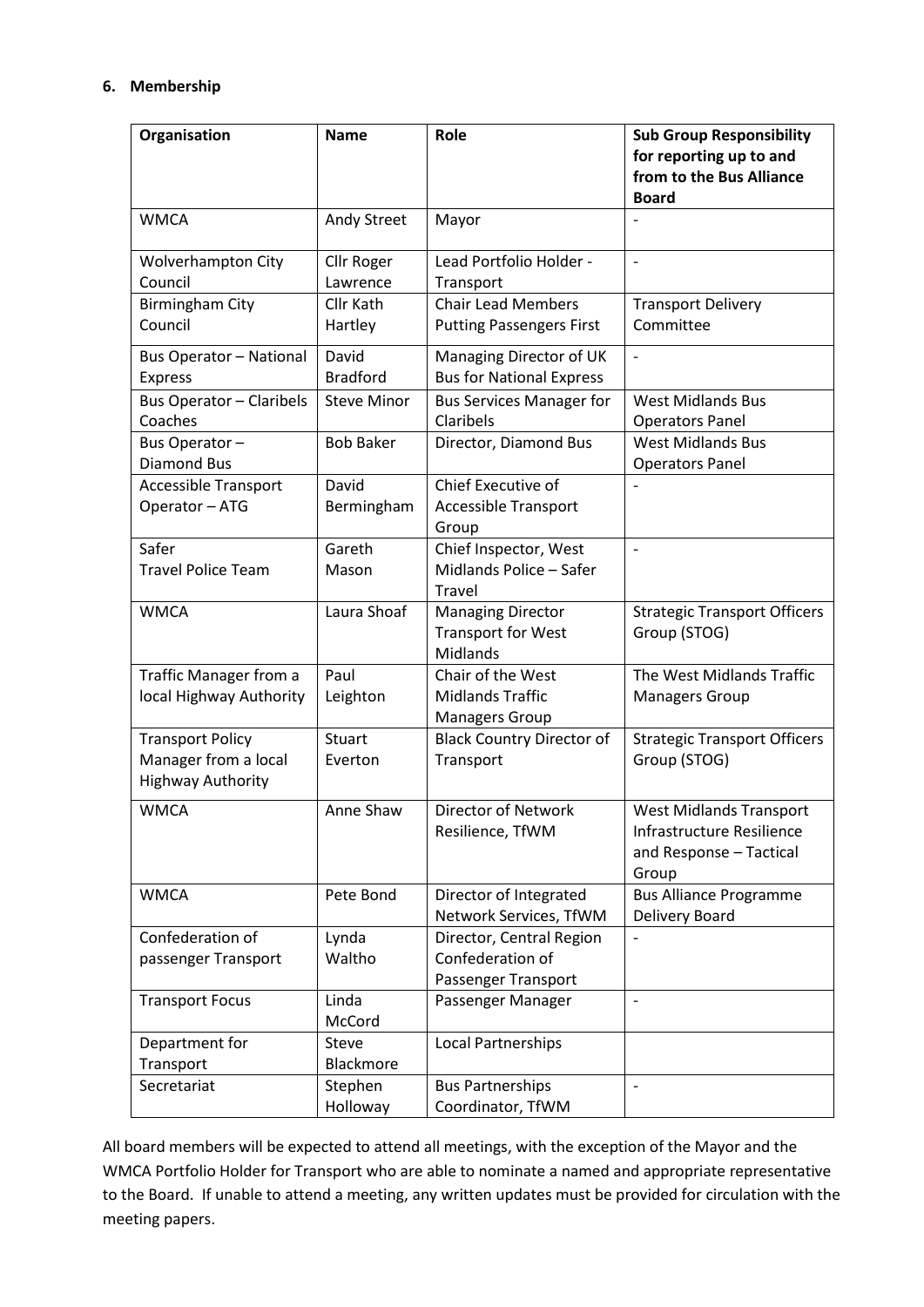## **6. Membership**

| Organisation                                    | <b>Name</b>        | Role                             | <b>Sub Group Responsibility</b><br>for reporting up to and<br>from to the Bus Alliance |
|-------------------------------------------------|--------------------|----------------------------------|----------------------------------------------------------------------------------------|
|                                                 |                    |                                  | <b>Board</b>                                                                           |
| <b>WMCA</b>                                     | Andy Street        | Mayor                            |                                                                                        |
| <b>Wolverhampton City</b>                       | Cllr Roger         | Lead Portfolio Holder -          | $\overline{\phantom{a}}$                                                               |
| Council                                         | Lawrence           | Transport                        |                                                                                        |
| <b>Birmingham City</b>                          | Cllr Kath          | <b>Chair Lead Members</b>        | <b>Transport Delivery</b>                                                              |
| Council                                         | Hartley            | <b>Putting Passengers First</b>  | Committee                                                                              |
| <b>Bus Operator - National</b>                  | David              | Managing Director of UK          | $\overline{\phantom{0}}$                                                               |
| <b>Express</b>                                  | <b>Bradford</b>    | <b>Bus for National Express</b>  |                                                                                        |
| <b>Bus Operator - Claribels</b>                 | <b>Steve Minor</b> | <b>Bus Services Manager for</b>  | <b>West Midlands Bus</b>                                                               |
| Coaches                                         |                    | Claribels                        | <b>Operators Panel</b>                                                                 |
| Bus Operator-                                   | <b>Bob Baker</b>   | Director, Diamond Bus            | <b>West Midlands Bus</b>                                                               |
| <b>Diamond Bus</b>                              |                    |                                  | <b>Operators Panel</b>                                                                 |
| <b>Accessible Transport</b>                     | David              | Chief Executive of               |                                                                                        |
| Operator - ATG                                  | Bermingham         | <b>Accessible Transport</b>      |                                                                                        |
|                                                 |                    | Group                            |                                                                                        |
| Safer                                           | Gareth             | Chief Inspector, West            |                                                                                        |
| <b>Travel Police Team</b>                       | Mason              | Midlands Police - Safer          |                                                                                        |
|                                                 |                    | Travel                           |                                                                                        |
| <b>WMCA</b>                                     | Laura Shoaf        | <b>Managing Director</b>         | <b>Strategic Transport Officers</b>                                                    |
|                                                 |                    | <b>Transport for West</b>        | Group (STOG)                                                                           |
|                                                 |                    | Midlands                         |                                                                                        |
| Traffic Manager from a                          | Paul               | Chair of the West                | The West Midlands Traffic                                                              |
| local Highway Authority                         | Leighton           | <b>Midlands Traffic</b>          | <b>Managers Group</b>                                                                  |
|                                                 |                    | <b>Managers Group</b>            |                                                                                        |
| <b>Transport Policy</b><br>Manager from a local | Stuart             | <b>Black Country Director of</b> | <b>Strategic Transport Officers</b>                                                    |
|                                                 | Everton            | Transport                        | Group (STOG)                                                                           |
| <b>Highway Authority</b>                        |                    |                                  |                                                                                        |
| <b>WMCA</b>                                     | Anne Shaw          | Director of Network              | <b>West Midlands Transport</b>                                                         |
|                                                 |                    | Resilience, TfWM                 | Infrastructure Resilience                                                              |
|                                                 |                    |                                  | and Response - Tactical                                                                |
|                                                 |                    |                                  | Group                                                                                  |
| <b>WMCA</b>                                     | Pete Bond          | Director of Integrated           | <b>Bus Alliance Programme</b>                                                          |
|                                                 |                    | Network Services, TfWM           | Delivery Board                                                                         |
| Confederation of                                | Lynda              | Director, Central Region         |                                                                                        |
| passenger Transport                             | Waltho             | Confederation of                 |                                                                                        |
|                                                 |                    | Passenger Transport              |                                                                                        |
| <b>Transport Focus</b>                          | Linda<br>McCord    | Passenger Manager                |                                                                                        |
| Department for                                  | <b>Steve</b>       | <b>Local Partnerships</b>        |                                                                                        |
| Transport                                       | Blackmore          |                                  |                                                                                        |
| Secretariat                                     | Stephen            | <b>Bus Partnerships</b>          |                                                                                        |
|                                                 | Holloway           | Coordinator, TfWM                |                                                                                        |

All board members will be expected to attend all meetings, with the exception of the Mayor and the WMCA Portfolio Holder for Transport who are able to nominate a named and appropriate representative to the Board. If unable to attend a meeting, any written updates must be provided for circulation with the meeting papers.